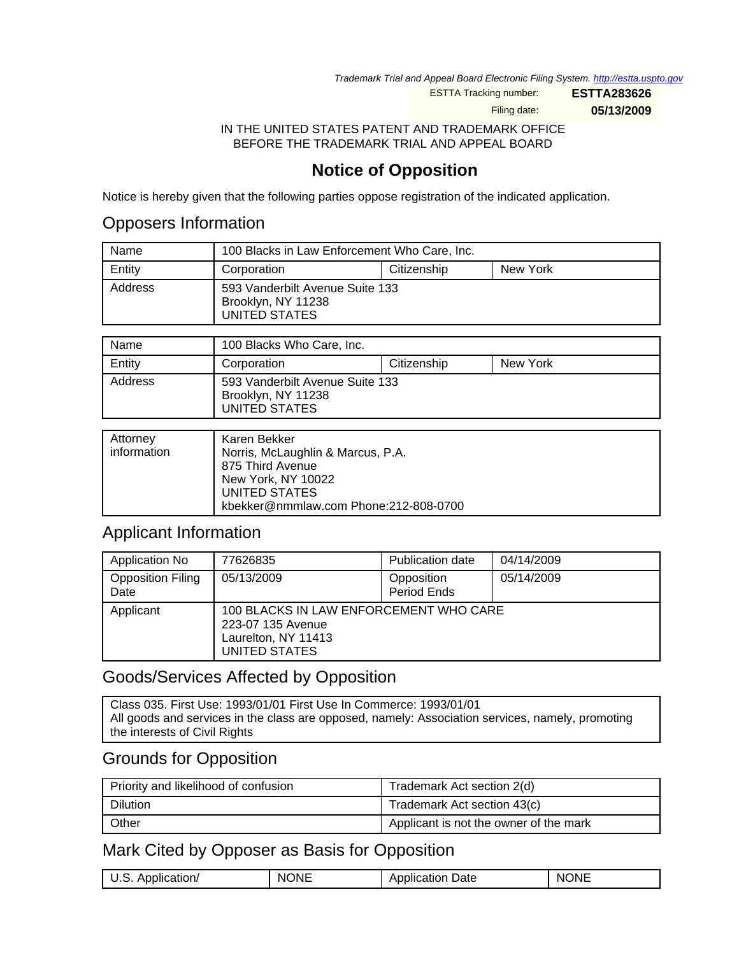Trademark Trial and Appeal Board Electronic Filing System. <http://estta.uspto.gov>

ESTTA Tracking number: **ESTTA283626**

Filing date: **05/13/2009**

IN THE UNITED STATES PATENT AND TRADEMARK OFFICE BEFORE THE TRADEMARK TRIAL AND APPEAL BOARD

# **Notice of Opposition**

Notice is hereby given that the following parties oppose registration of the indicated application.

### Opposers Information

| Name    | 100 Blacks in Law Enforcement Who Care, Inc.                           |             |          |
|---------|------------------------------------------------------------------------|-------------|----------|
| Entity  | Corporation                                                            | Citizenship | New York |
| Address | 593 Vanderbilt Avenue Suite 133<br>Brooklyn, NY 11238<br>UNITED STATES |             |          |

| Name    | 100 Blacks Who Care, Inc.                                              |             |          |
|---------|------------------------------------------------------------------------|-------------|----------|
| Entity  | Corporation                                                            | Citizenship | New York |
| Address | 593 Vanderbilt Avenue Suite 133<br>Brooklyn, NY 11238<br>UNITED STATES |             |          |

| Attorney<br>information |
|-------------------------|
|-------------------------|

### Applicant Information

| Application No                   | 77626835                                                                                            | <b>Publication date</b>   | 04/14/2009 |
|----------------------------------|-----------------------------------------------------------------------------------------------------|---------------------------|------------|
| <b>Opposition Filing</b><br>Date | 05/13/2009                                                                                          | Opposition<br>Period Ends | 05/14/2009 |
| Applicant                        | 100 BLACKS IN LAW ENFORCEMENT WHO CARE<br>223-07 135 Avenue<br>Laurelton, NY 11413<br>UNITED STATES |                           |            |

#### Goods/Services Affected by Opposition

Class 035. First Use: 1993/01/01 First Use In Commerce: 1993/01/01 All goods and services in the class are opposed, namely: Association services, namely, promoting the interests of Civil Rights

#### Grounds for Opposition

| Priority and likelihood of confusion | Trademark Act section 2(d)             |  |
|--------------------------------------|----------------------------------------|--|
| <b>Dilution</b>                      | Trademark Act section 43(c)            |  |
| Other                                | Applicant is not the owner of the mark |  |

#### Mark Cited by Opposer as Basis for Opposition

|                                      | 7NF<br>N0 |                   | .<br>ΝI |
|--------------------------------------|-----------|-------------------|---------|
| olication/<br>ப<br>1U L<br>ں.<br>. . | .         | Date<br>piication | .ONE    |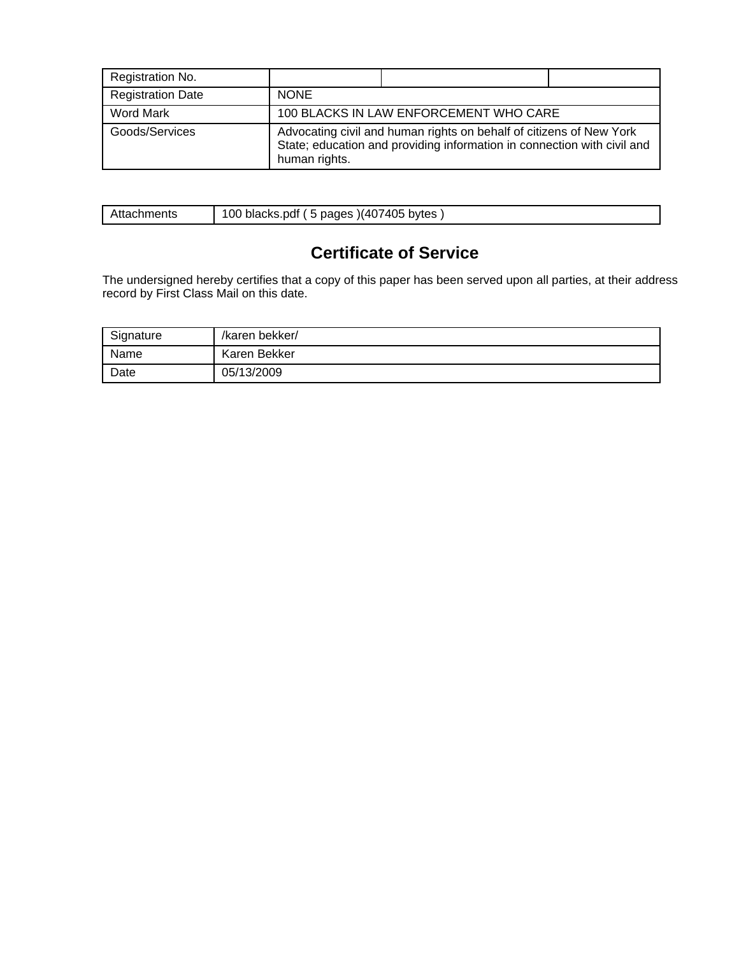| Registration No.         |                                                                                                                                                                 |                                        |  |
|--------------------------|-----------------------------------------------------------------------------------------------------------------------------------------------------------------|----------------------------------------|--|
| <b>Registration Date</b> | <b>NONE</b>                                                                                                                                                     |                                        |  |
| Word Mark                |                                                                                                                                                                 | 100 BLACKS IN LAW ENFORCEMENT WHO CARE |  |
| Goods/Services           | Advocating civil and human rights on behalf of citizens of New York<br>State; education and providing information in connection with civil and<br>human rights. |                                        |  |

| ∖chments | )(407405)<br>100<br>5 pages<br>i bvtes<br>blacks.pdf |
|----------|------------------------------------------------------|

# **Certificate of Service**

The undersigned hereby certifies that a copy of this paper has been served upon all parties, at their address record by First Class Mail on this date.

| Signature | /karen bekker/ |
|-----------|----------------|
| Name      | Karen Bekker   |
| Date      | 05/13/2009     |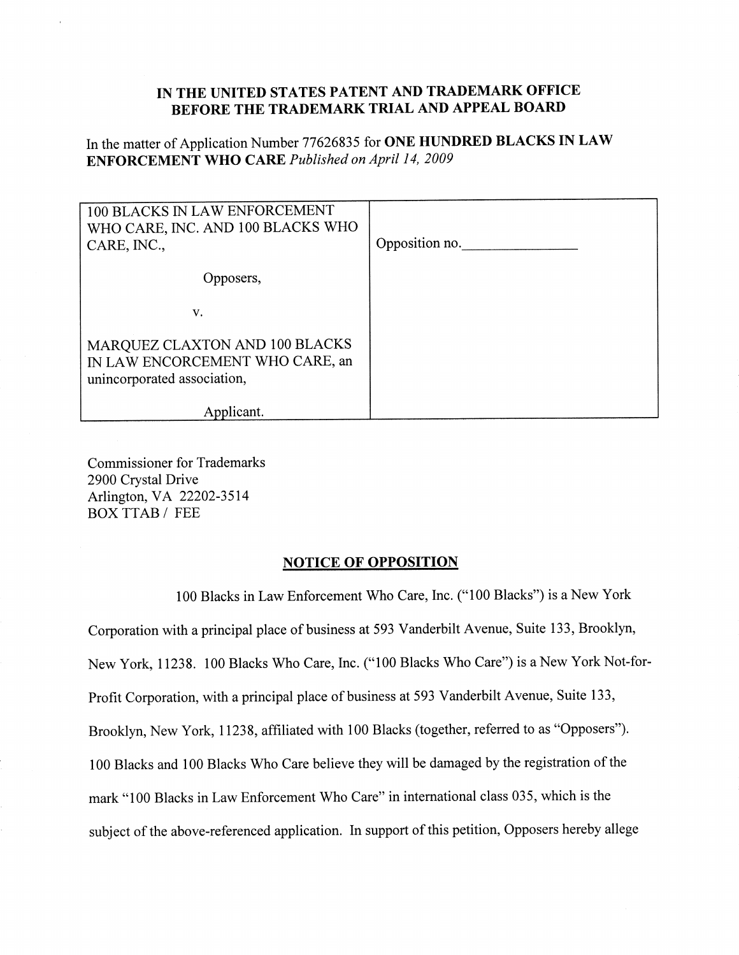#### IN THE UNITED STATES PATENT AND TRADEMARK OFFICE BEFORE THE TRADEMARK TRIAL AND APPEAL BOARD

In the matter of Application Number 77626835 for ONE HUNDRED BLACKS IN LAW **ENFORCEMENT WHO CARE Published on April 14, 2009** 

| 100 BLACKS IN LAW ENFORCEMENT<br>WHO CARE, INC. AND 100 BLACKS WHO<br>CARE, INC.,                | Opposition no. |
|--------------------------------------------------------------------------------------------------|----------------|
| Opposers,                                                                                        |                |
| v.                                                                                               |                |
| MARQUEZ CLAXTON AND 100 BLACKS<br>IN LAW ENCORCEMENT WHO CARE, an<br>unincorporated association, |                |
| Applicant.                                                                                       |                |

**Commissioner for Trademarks** 2900 Crystal Drive Arlington, VA 22202-3514 **BOX TTAB** / FEE

#### **NOTICE OF OPPOSITION**

100 Blacks in Law Enforcement Who Care, Inc. ("100 Blacks") is a New York Corporation with a principal place of business at 593 Vanderbilt Avenue, Suite 133, Brooklyn, New York, 11238. 100 Blacks Who Care, Inc. ("100 Blacks Who Care") is a New York Not-for-Profit Corporation, with a principal place of business at 593 Vanderbilt Avenue, Suite 133, Brooklyn, New York, 11238, affiliated with 100 Blacks (together, referred to as "Opposers"). 100 Blacks and 100 Blacks Who Care believe they will be damaged by the registration of the mark "100 Blacks in Law Enforcement Who Care" in international class 035, which is the subject of the above-referenced application. In support of this petition, Opposers hereby allege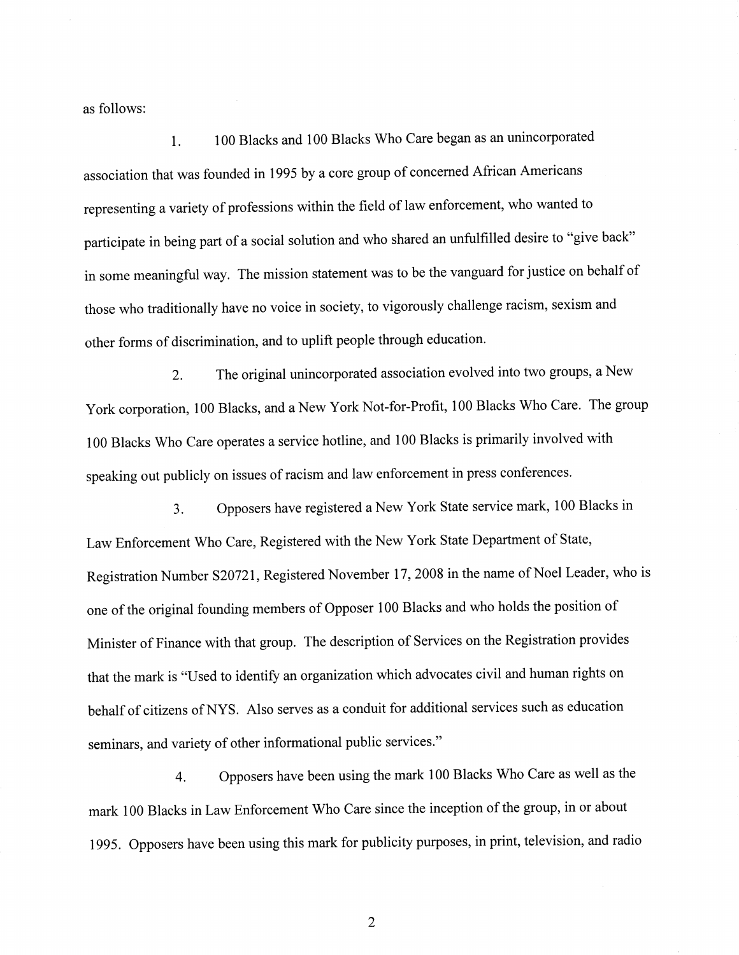as follows:

100 Blacks and 100 Blacks Who Care began as an unincorporated 1. association that was founded in 1995 by a core group of concerned African Americans representing a variety of professions within the field of law enforcement, who wanted to participate in being part of a social solution and who shared an unfulfilled desire to "give back" in some meaningful way. The mission statement was to be the vanguard for justice on behalf of those who traditionally have no voice in society, to vigorously challenge racism, sexism and other forms of discrimination, and to uplift people through education.

The original unincorporated association evolved into two groups, a New  $2.$ York corporation, 100 Blacks, and a New York Not-for-Profit, 100 Blacks Who Care. The group 100 Blacks Who Care operates a service hotline, and 100 Blacks is primarily involved with speaking out publicly on issues of racism and law enforcement in press conferences.

Opposers have registered a New York State service mark, 100 Blacks in  $3<sub>1</sub>$ Law Enforcement Who Care, Registered with the New York State Department of State, Registration Number S20721, Registered November 17, 2008 in the name of Noel Leader, who is one of the original founding members of Opposer 100 Blacks and who holds the position of Minister of Finance with that group. The description of Services on the Registration provides that the mark is "Used to identify an organization which advocates civil and human rights on behalf of citizens of NYS. Also serves as a conduit for additional services such as education seminars, and variety of other informational public services."

Opposers have been using the mark 100 Blacks Who Care as well as the  $4.$ mark 100 Blacks in Law Enforcement Who Care since the inception of the group, in or about 1995. Opposers have been using this mark for publicity purposes, in print, television, and radio

 $\overline{2}$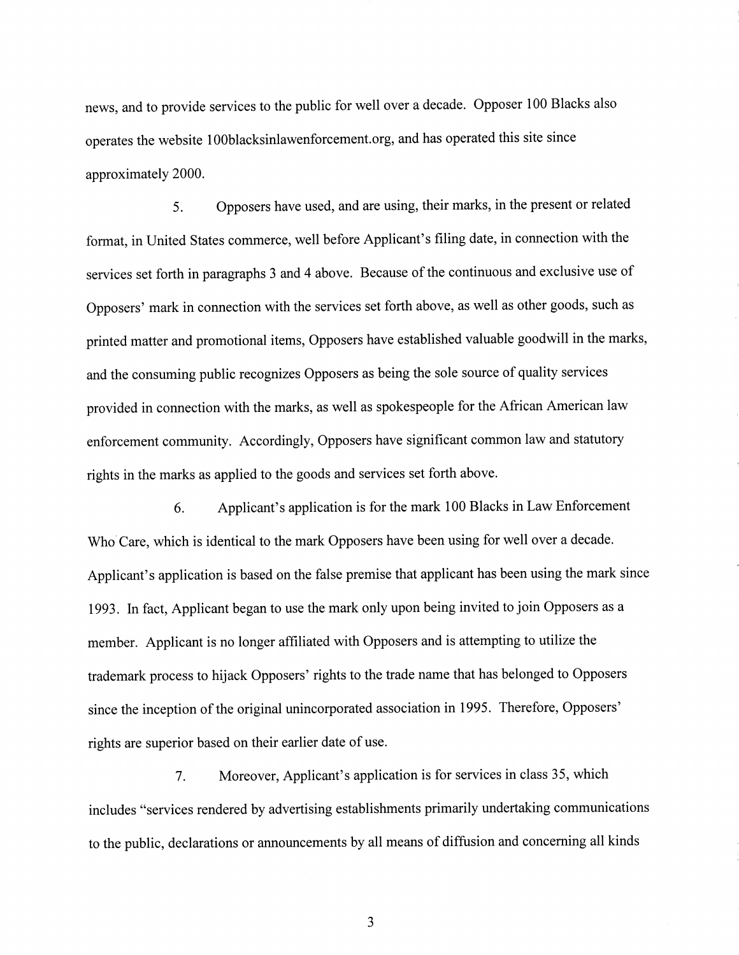news, and to provide services to the public for well over a decade. Opposer 100 Blacks also operates the website 100blacksinlawenforcement.org, and has operated this site since approximately 2000.

Opposers have used, and are using, their marks, in the present or related 5. format, in United States commerce, well before Applicant's filing date, in connection with the services set forth in paragraphs 3 and 4 above. Because of the continuous and exclusive use of Opposers' mark in connection with the services set forth above, as well as other goods, such as printed matter and promotional items, Opposers have established valuable goodwill in the marks, and the consuming public recognizes Opposers as being the sole source of quality services provided in connection with the marks, as well as spokespeople for the African American law enforcement community. Accordingly, Opposers have significant common law and statutory rights in the marks as applied to the goods and services set forth above.

6. Applicant's application is for the mark 100 Blacks in Law Enforcement Who Care, which is identical to the mark Opposers have been using for well over a decade. Applicant's application is based on the false premise that applicant has been using the mark since 1993. In fact, Applicant began to use the mark only upon being invited to join Opposers as a member. Applicant is no longer affiliated with Opposers and is attempting to utilize the trademark process to hijack Opposers' rights to the trade name that has belonged to Opposers since the inception of the original unincorporated association in 1995. Therefore, Opposers' rights are superior based on their earlier date of use.

Moreover, Applicant's application is for services in class 35, which 7. includes "services rendered by advertising establishments primarily undertaking communications to the public, declarations or announcements by all means of diffusion and concerning all kinds

3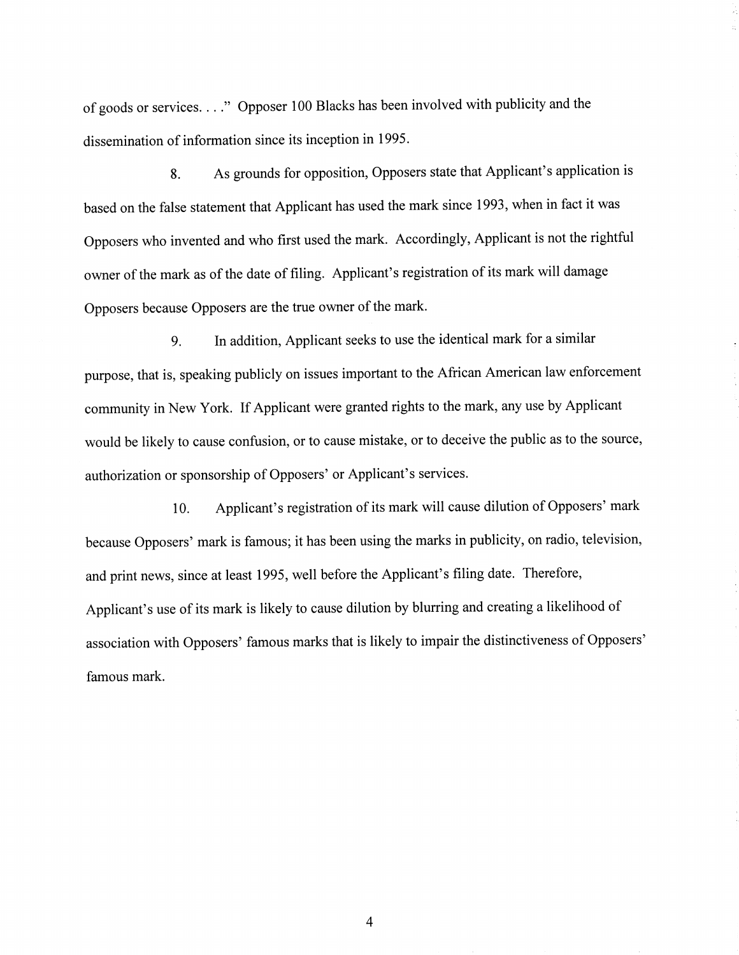of goods or services...." Opposer 100 Blacks has been involved with publicity and the dissemination of information since its inception in 1995.

As grounds for opposition, Opposers state that Applicant's application is 8. based on the false statement that Applicant has used the mark since 1993, when in fact it was Opposers who invented and who first used the mark. Accordingly, Applicant is not the rightful owner of the mark as of the date of filing. Applicant's registration of its mark will damage Opposers because Opposers are the true owner of the mark.

In addition, Applicant seeks to use the identical mark for a similar  $9<sub>1</sub>$ purpose, that is, speaking publicly on issues important to the African American law enforcement community in New York. If Applicant were granted rights to the mark, any use by Applicant would be likely to cause confusion, or to cause mistake, or to deceive the public as to the source, authorization or sponsorship of Opposers' or Applicant's services.

Applicant's registration of its mark will cause dilution of Opposers' mark 10. because Opposers' mark is famous; it has been using the marks in publicity, on radio, television, and print news, since at least 1995, well before the Applicant's filing date. Therefore, Applicant's use of its mark is likely to cause dilution by blurring and creating a likelihood of association with Opposers' famous marks that is likely to impair the distinctiveness of Opposers' famous mark.

 $\overline{4}$